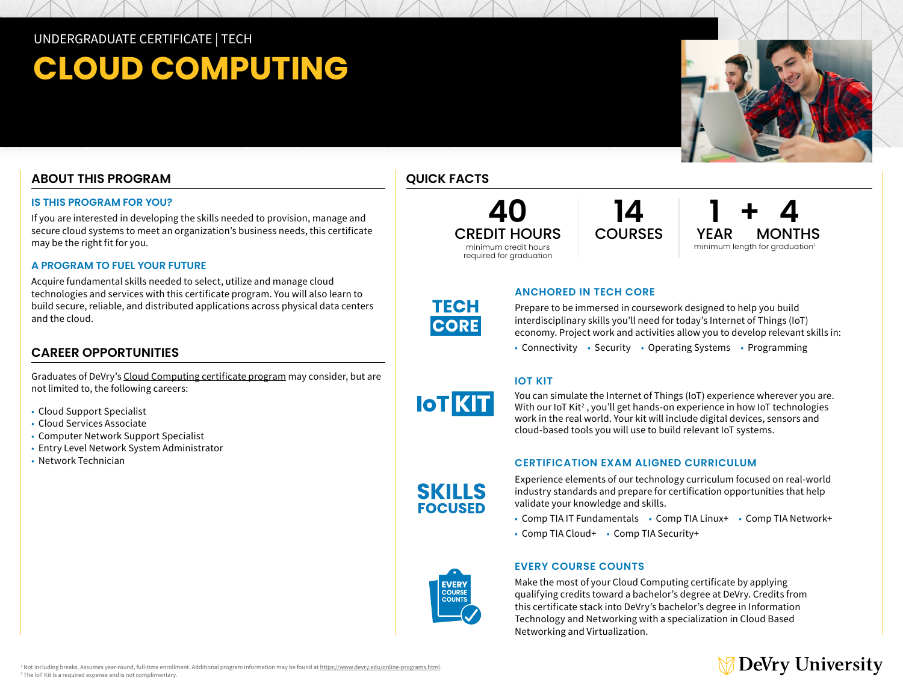## UNDERGRADUATE CERTIFICATE | TECH

# **CLOUD COMPUTING**

## **ABOUT THIS PROGRAM**

#### **IS THIS PROGRAM FOR YOU?**

If you are interested in developing the skills needed to provision, manage and secure cloud systems to meet an organization's business needs, this certificate may be the right fit for you.

#### **A PROGRAM TO FUEL YOUR FUTURE**

Acquire fundamental skills needed to select, utilize and manage cloud technologies and services with this certificate program. You will also learn to build secure, reliable, and distributed applications across physical data centers and the cloud.

### **CAREER OPPORTUNITIES**

Graduates of DeVry's [Cloud Computing certificate program](https://www.devry.edu/online-programs/undergraduate-certificates/cloud-computing.html) may consider, but are not limited to, the following careers:

- Cloud Support Specialist
- Cloud Services Associate
- Computer Network Support Specialist
- Entry Level Network System Administrator
- Network Technician



**40**  CREDIT HOURS minimum credit hours required for graduation

**14**  COURSES

**1 + 4** YEAR MONTHS<br>minimum length for graduation<sup>1</sup>

## **ANCHORED IN TECH CORE TECH CORE**

Prepare to be immersed in coursework designed to help you build interdisciplinary skills you'll need for today's Internet of Things (IoT) economy. Project work and activities allow you to develop relevant skills in:

• Connectivity • Security • Operating Systems • Programming

#### **IOT KIT**

You can simulate the Internet of Things (IoT) experience wherever you are. With our IoT Kit<sup>2</sup>, you'll get hands-on experience in how IoT technologies work in the real world. Your kit will include digital devices, sensors and cloud-based tools you will use to build relevant IoT systems.

#### **CERTIFICATION EXAM ALIGNED CURRICULUM**

Experience elements of our technology curriculum focused on real-world industry standards and prepare for certification opportunities that help validate your knowledge and skills.

- Comp TIA IT Fundamentals Comp TIA Linux+ Comp TIA Network+
- Comp TIA Cloud+ Comp TIA Security+

## **EVERY COURSE COUNTS**

Make the most of your Cloud Computing certificate by applying qualifying credits toward a bachelor's degree at DeVry. Credits from this certificate stack into DeVry's bachelor's degree in Information Technology and Networking with a specialization in Cloud Based Networking and Virtualization.



**IOT KIT** 

**SKILLS FOCUSED**